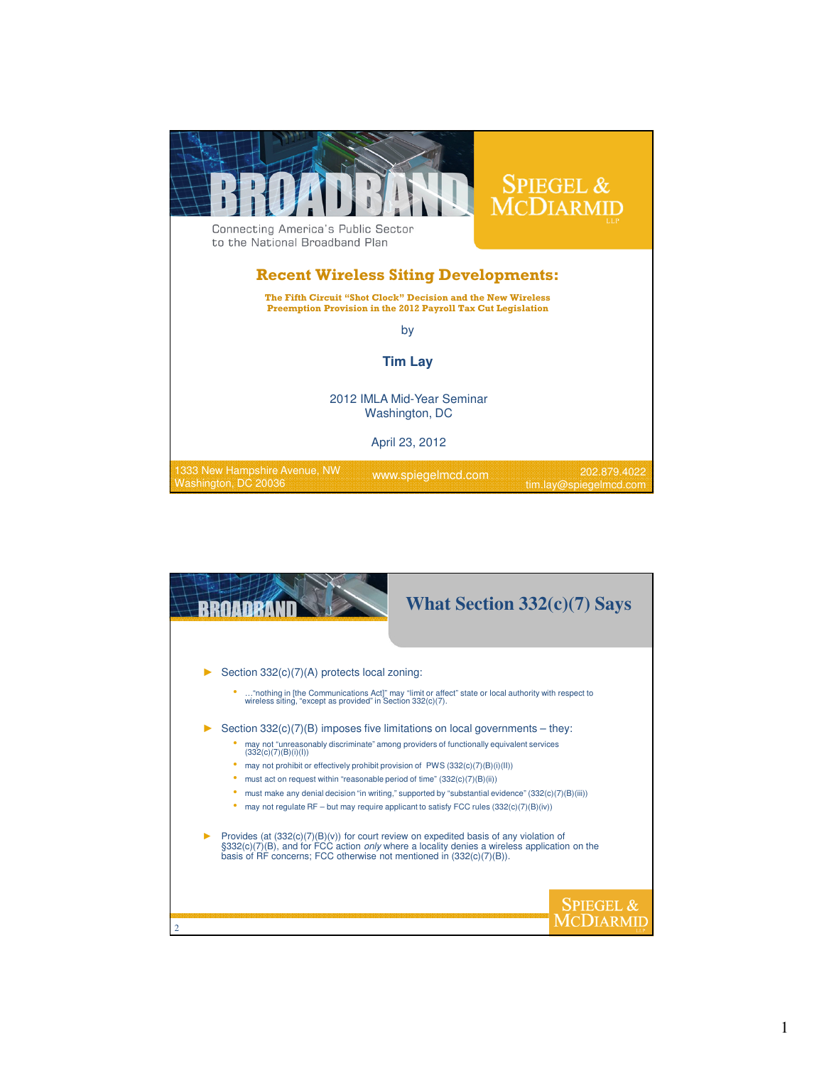

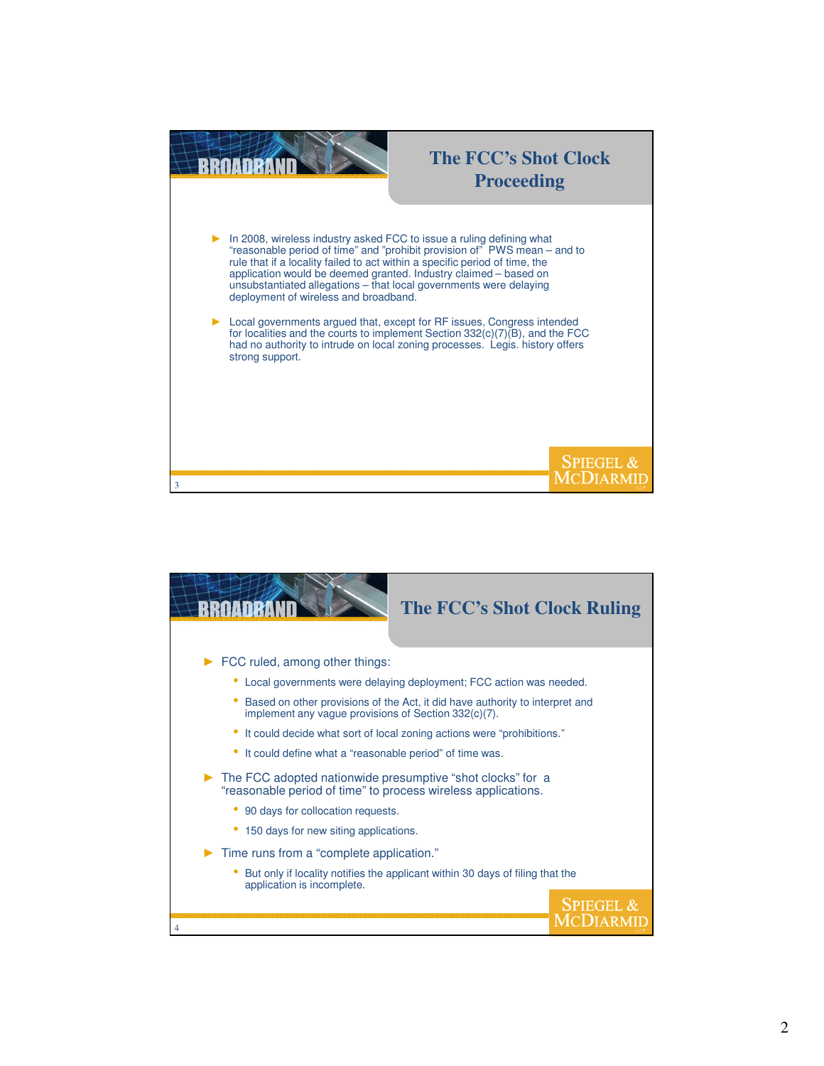

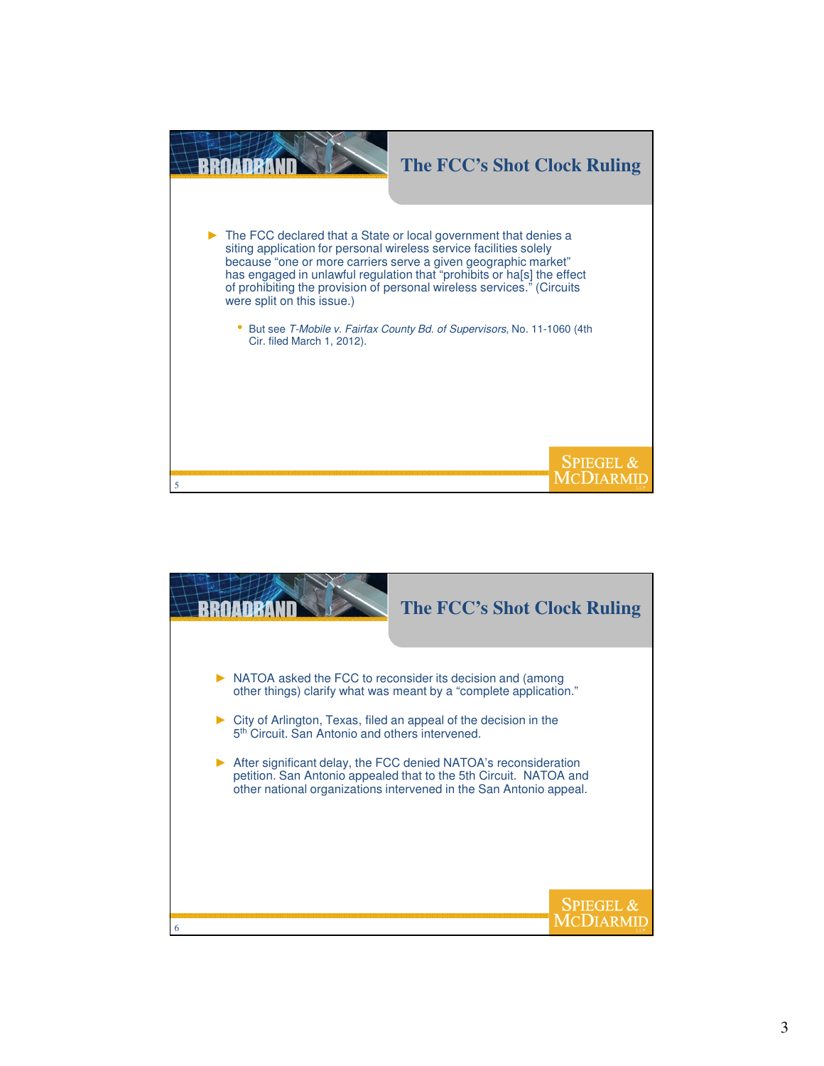

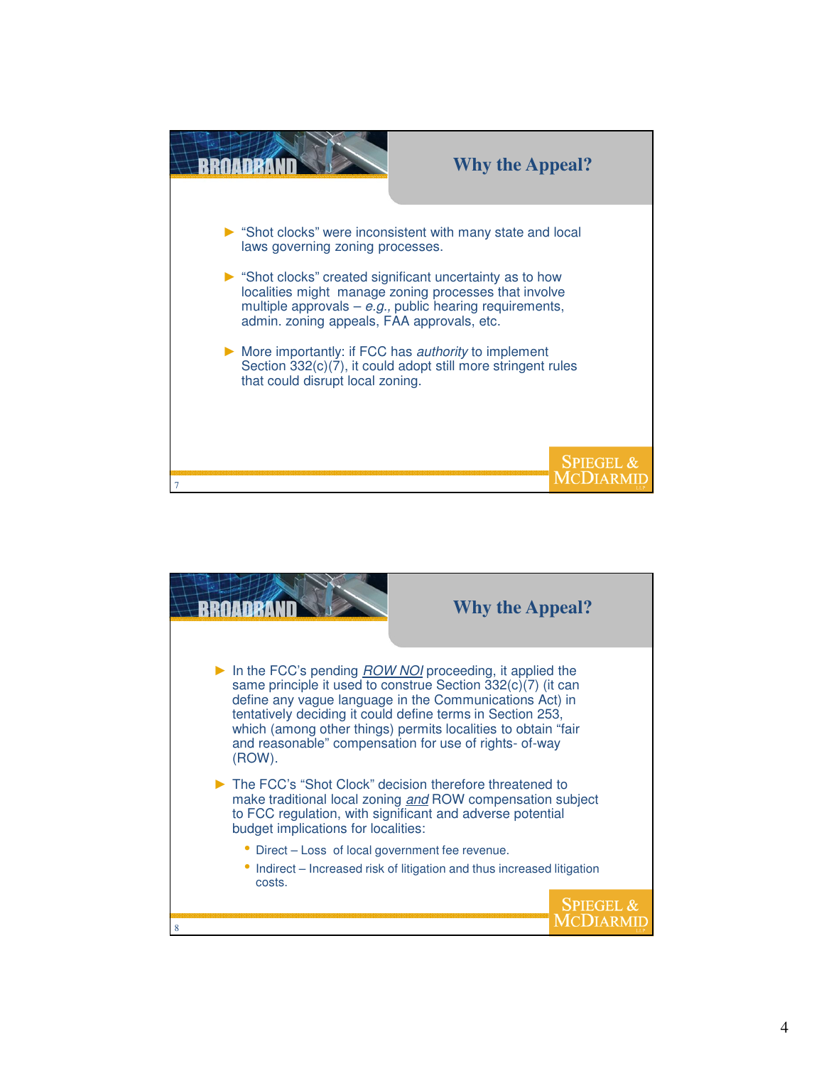

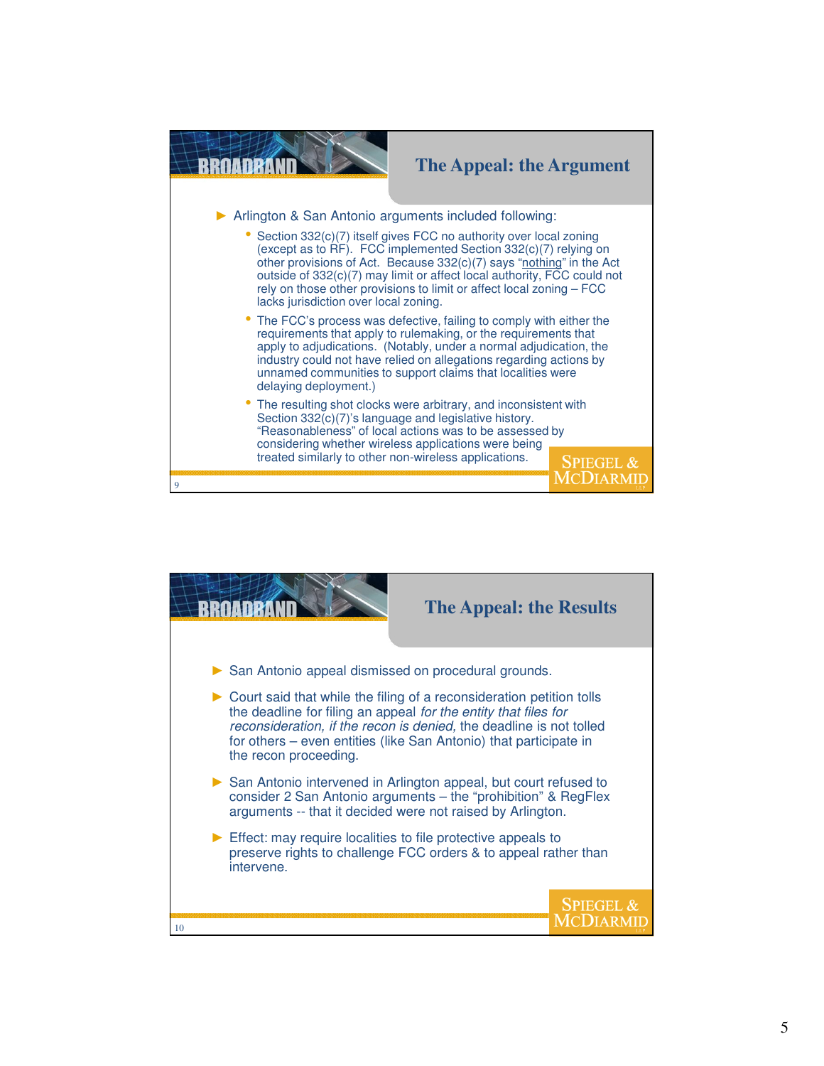

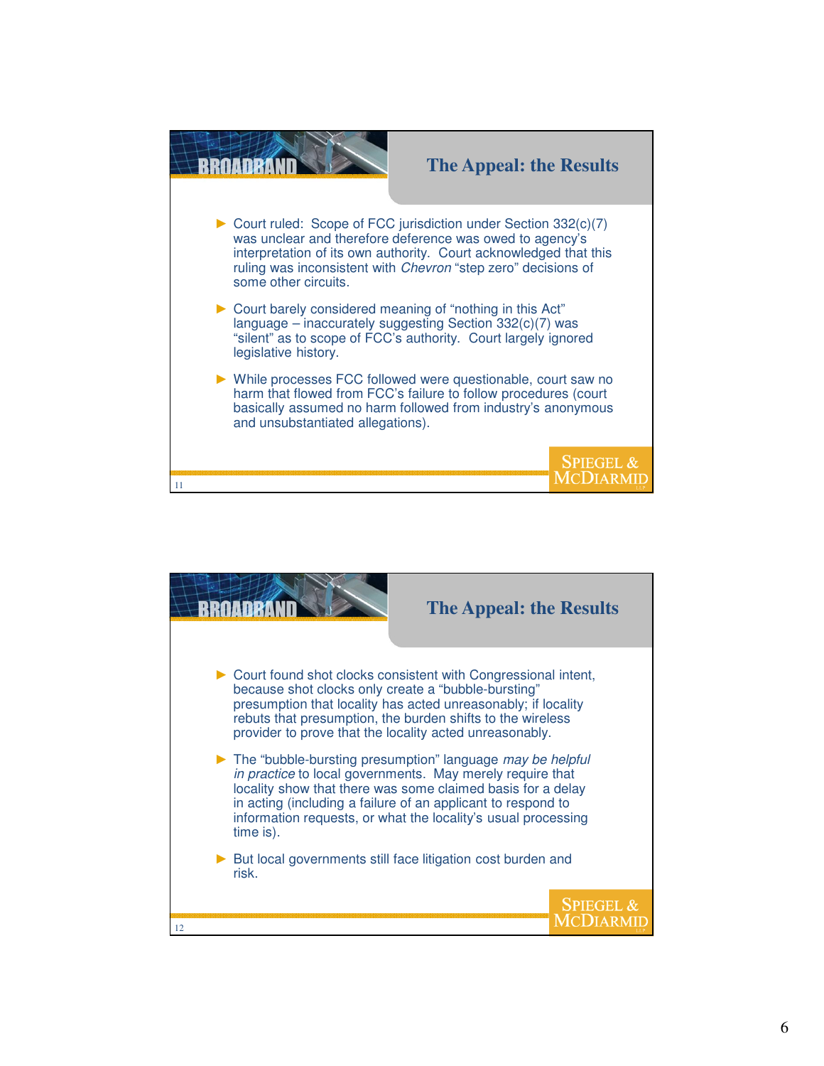

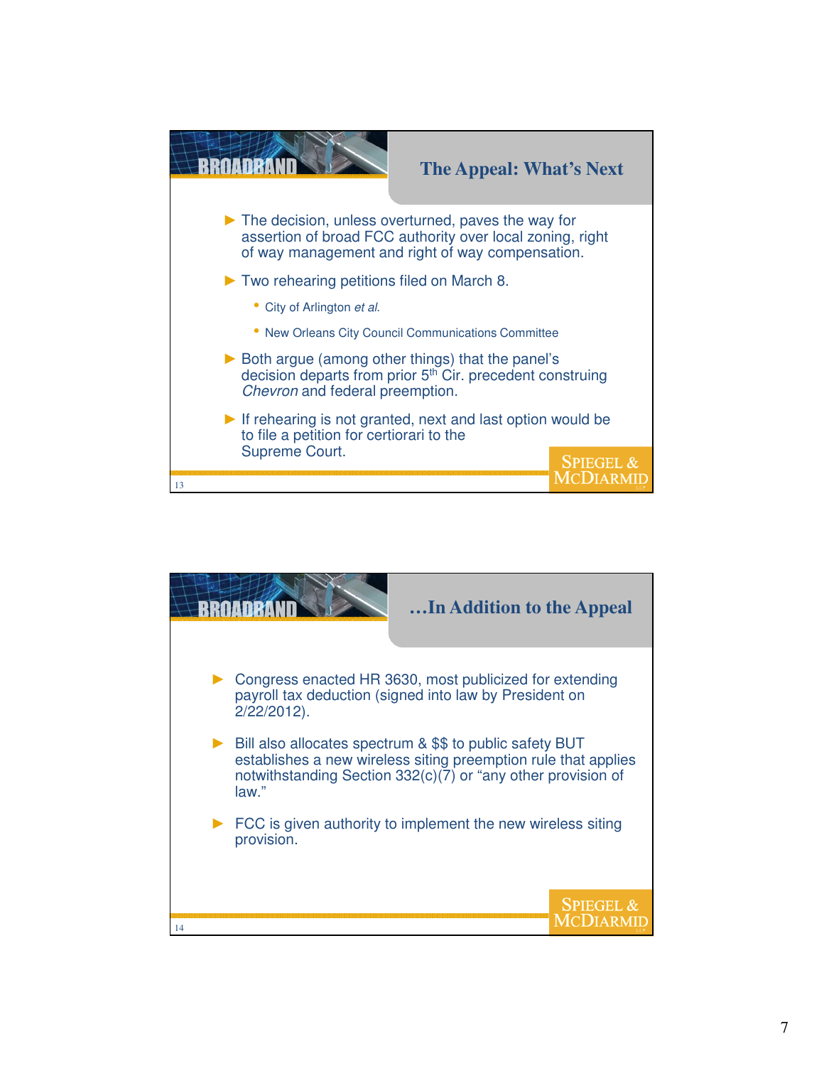

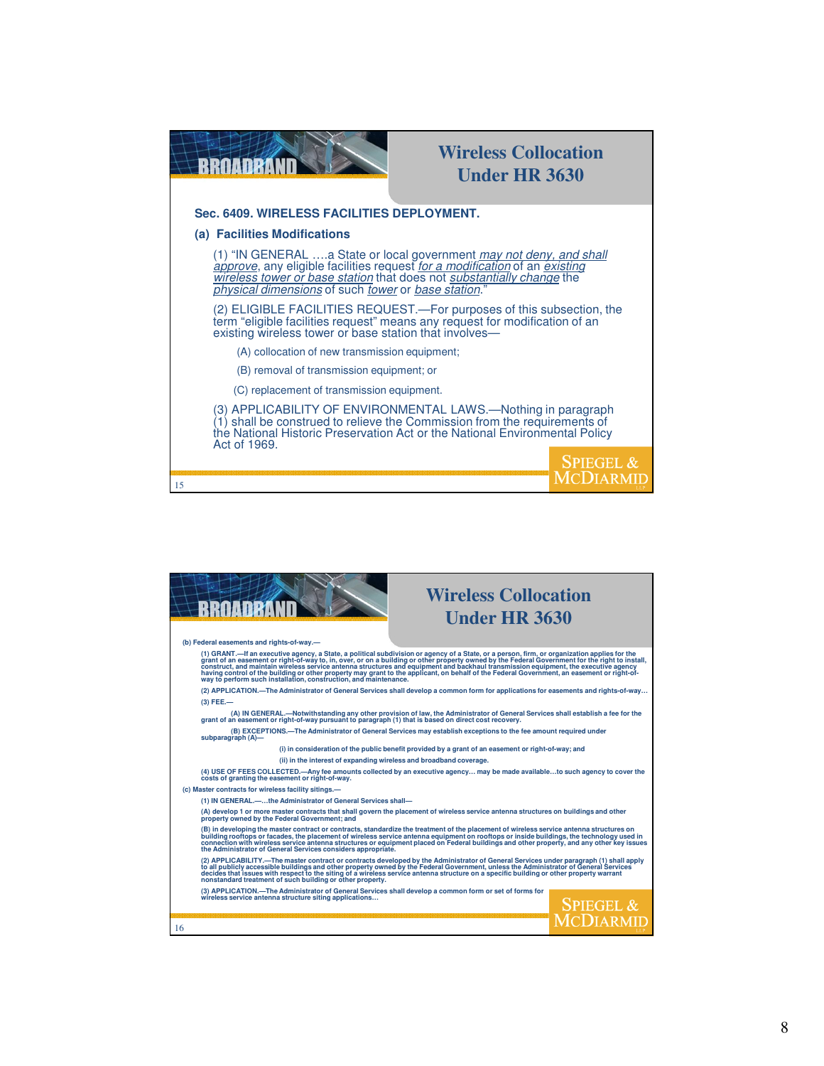| RRAADRANN                                                                                                                                                                                                                                                                          | <b>Wireless Collocation</b><br><b>Under HR 3630</b> |                      |  |
|------------------------------------------------------------------------------------------------------------------------------------------------------------------------------------------------------------------------------------------------------------------------------------|-----------------------------------------------------|----------------------|--|
| Sec. 6409. WIRELESS FACILITIES DEPLOYMENT.                                                                                                                                                                                                                                         |                                                     |                      |  |
| (a) Facilities Modifications                                                                                                                                                                                                                                                       |                                                     |                      |  |
| (1) "IN GENERAL  a State or local government may not deny, and shall<br>approve, any eligible facilities request for a modification of an existing<br>wireless tower or base station that does not substantially change the<br>physical dimensions of such tower or base station.' |                                                     |                      |  |
| (2) ELIGIBLE FACILITIES REQUEST.—For purposes of this subsection, the<br>term "eligible facilities request" means any request for modification of an<br>existing wireless tower or base station that involves—                                                                     |                                                     |                      |  |
| (A) collocation of new transmission equipment;                                                                                                                                                                                                                                     |                                                     |                      |  |
| (B) removal of transmission equipment; or                                                                                                                                                                                                                                          |                                                     |                      |  |
| (C) replacement of transmission equipment.                                                                                                                                                                                                                                         |                                                     |                      |  |
| (3) APPLICABILITY OF ENVIRONMENTAL LAWS.-Nothing in paragraph<br>$(1)$ shall be construed to relieve the Commission from the requirements of<br>the National Historic Preservation Act or the National Environmental Policy<br>Act of 1969.                                        |                                                     |                      |  |
| 15                                                                                                                                                                                                                                                                                 |                                                     | <b>SPIEGEL &amp;</b> |  |

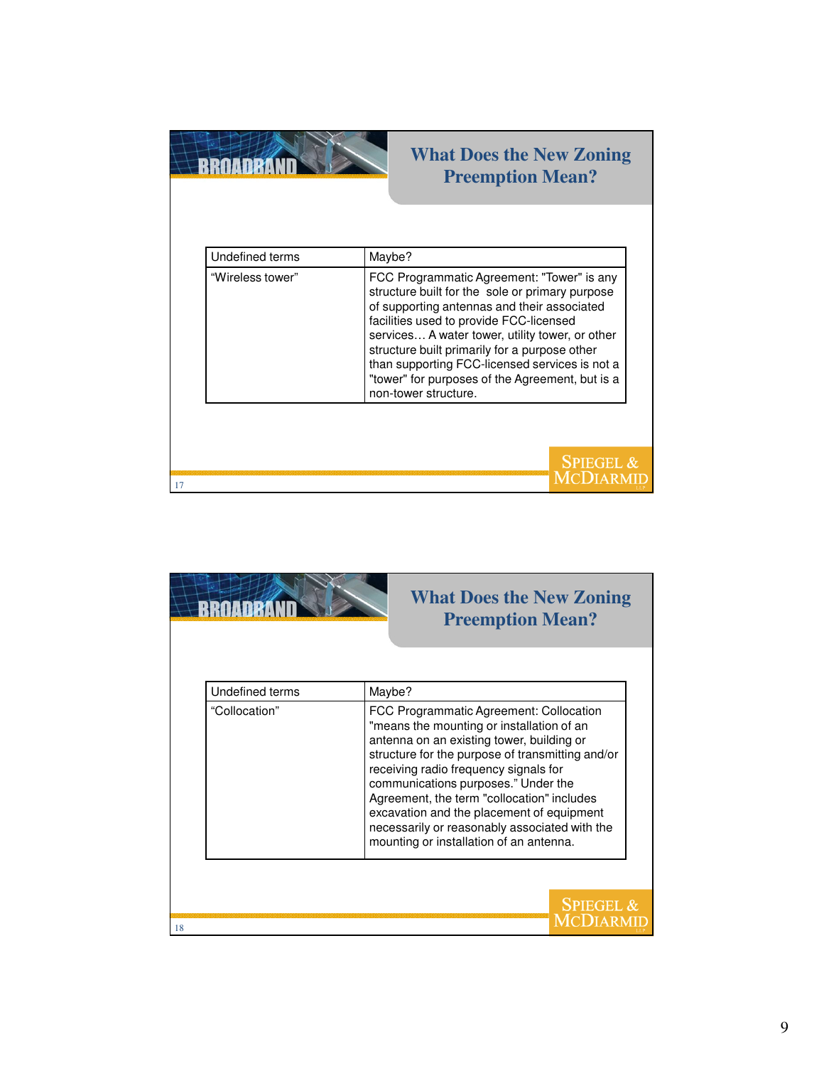|                  | <b>What Does the New Zoning</b><br><b>Preemption Mean?</b>                                                                                                                                                                                                                                                                                                                                                               |  |
|------------------|--------------------------------------------------------------------------------------------------------------------------------------------------------------------------------------------------------------------------------------------------------------------------------------------------------------------------------------------------------------------------------------------------------------------------|--|
| Undefined terms  | Maybe?                                                                                                                                                                                                                                                                                                                                                                                                                   |  |
| "Wireless tower" | FCC Programmatic Agreement: "Tower" is any<br>structure built for the sole or primary purpose<br>of supporting antennas and their associated<br>facilities used to provide FCC-licensed<br>services A water tower, utility tower, or other<br>structure built primarily for a purpose other<br>than supporting FCC-licensed services is not a<br>"tower" for purposes of the Agreement, but is a<br>non-tower structure. |  |
| 17               | <b>SPIEGEL &amp;</b>                                                                                                                                                                                                                                                                                                                                                                                                     |  |

|                 | <b>What Does the New Zoning</b><br><b>Preemption Mean?</b>                                                                                                                                                                                                                                                                                                                                                                                                   |
|-----------------|--------------------------------------------------------------------------------------------------------------------------------------------------------------------------------------------------------------------------------------------------------------------------------------------------------------------------------------------------------------------------------------------------------------------------------------------------------------|
| Undefined terms | Maybe?                                                                                                                                                                                                                                                                                                                                                                                                                                                       |
| "Collocation"   | FCC Programmatic Agreement: Collocation<br>"means the mounting or installation of an<br>antenna on an existing tower, building or<br>structure for the purpose of transmitting and/or<br>receiving radio frequency signals for<br>communications purposes." Under the<br>Agreement, the term "collocation" includes<br>excavation and the placement of equipment<br>necessarily or reasonably associated with the<br>mounting or installation of an antenna. |
|                 | <b>SPIEGEL &amp;</b>                                                                                                                                                                                                                                                                                                                                                                                                                                         |
| 18              |                                                                                                                                                                                                                                                                                                                                                                                                                                                              |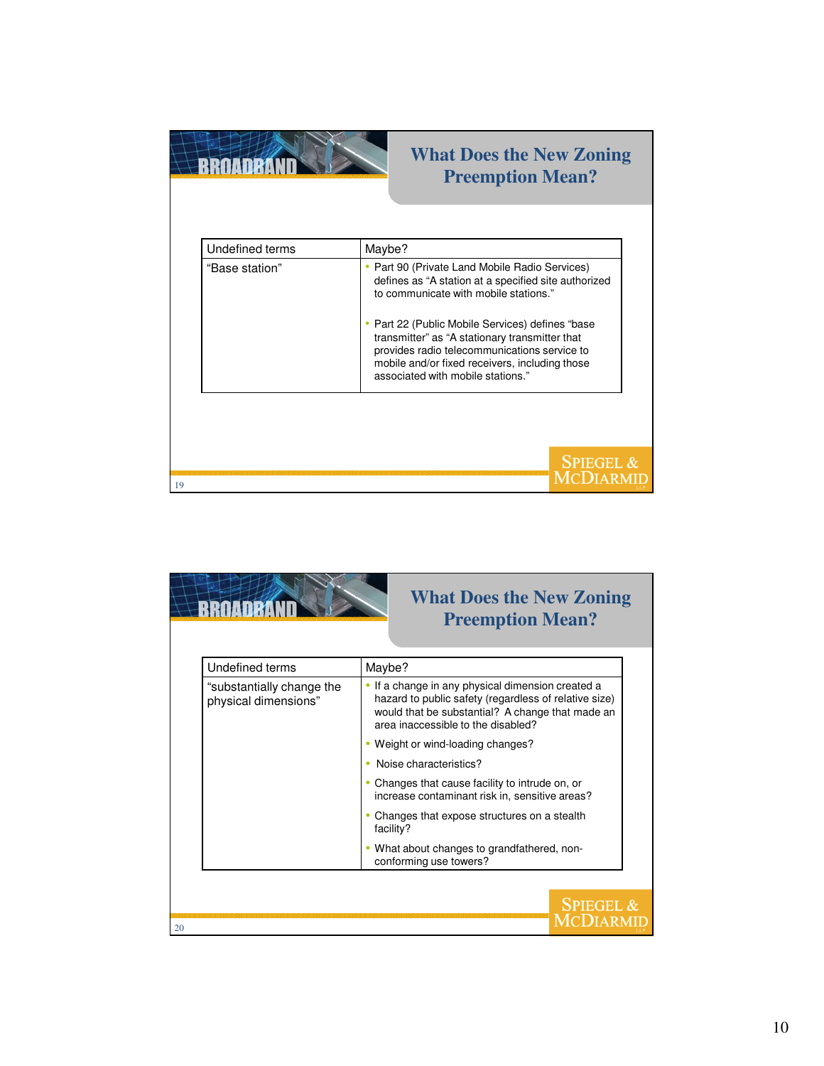| <b>Undefined terms</b> | Maybe?                                                                                                                                                                                                                                                                                                                                                                                       |  |
|------------------------|----------------------------------------------------------------------------------------------------------------------------------------------------------------------------------------------------------------------------------------------------------------------------------------------------------------------------------------------------------------------------------------------|--|
| "Base station"         | • Part 90 (Private Land Mobile Radio Services)<br>defines as "A station at a specified site authorized<br>to communicate with mobile stations."<br>• Part 22 (Public Mobile Services) defines "base<br>transmitter" as "A stationary transmitter that<br>provides radio telecommunications service to<br>mobile and/or fixed receivers, including those<br>associated with mobile stations." |  |

|                                                   | <b>What Does the New Zoning</b><br><b>Preemption Mean?</b>                                                                                                                                         |  |  |
|---------------------------------------------------|----------------------------------------------------------------------------------------------------------------------------------------------------------------------------------------------------|--|--|
| Undefined terms                                   | Maybe?                                                                                                                                                                                             |  |  |
| "substantially change the<br>physical dimensions" | If a change in any physical dimension created a<br>hazard to public safety (regardless of relative size)<br>would that be substantial? A change that made an<br>area inaccessible to the disabled? |  |  |
|                                                   | Weight or wind-loading changes?                                                                                                                                                                    |  |  |
|                                                   | Noise characteristics?                                                                                                                                                                             |  |  |
|                                                   | Changes that cause facility to intrude on, or<br>increase contaminant risk in, sensitive areas?                                                                                                    |  |  |
|                                                   | Changes that expose structures on a stealth<br>facility?                                                                                                                                           |  |  |
|                                                   | • What about changes to grandfathered, non-<br>conforming use towers?                                                                                                                              |  |  |
|                                                   |                                                                                                                                                                                                    |  |  |
| 20                                                | <b>SPIEGEL &amp;</b>                                                                                                                                                                               |  |  |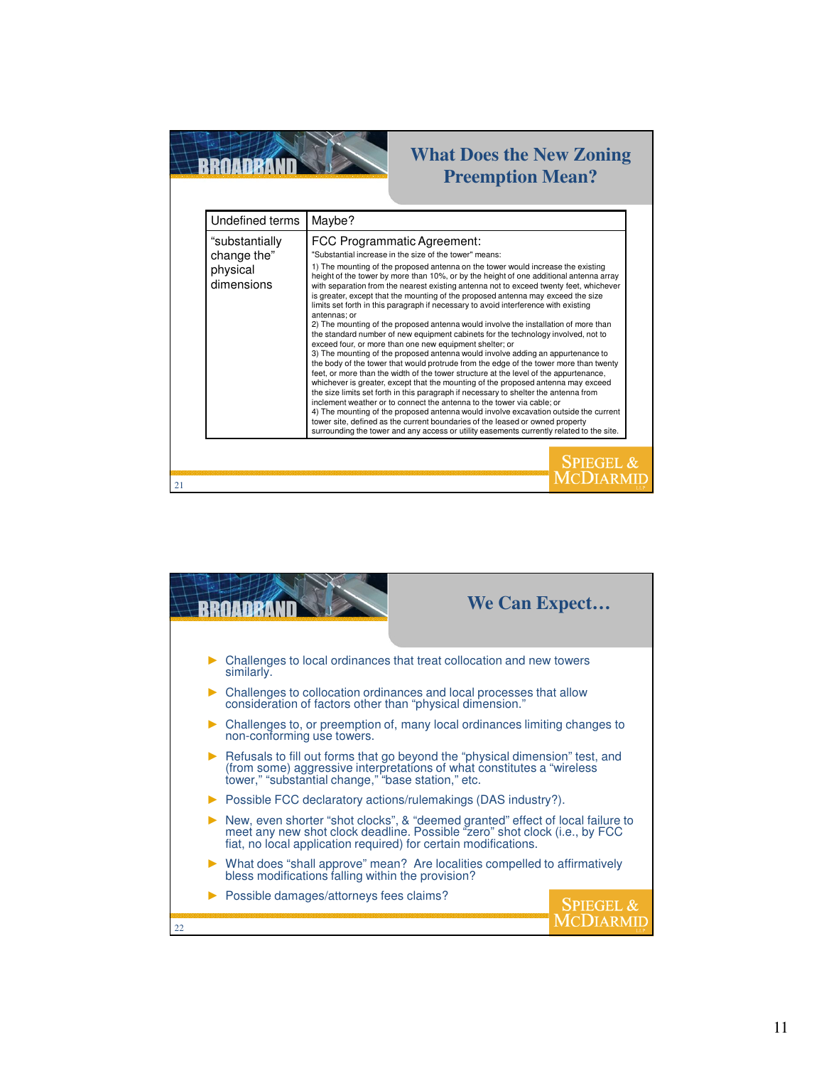

## **What Does the New Zoning Preemption Mean?**

| Undefined terms                                         |
|---------------------------------------------------------|
| "substantially<br>change the"<br>physical<br>dimensions |